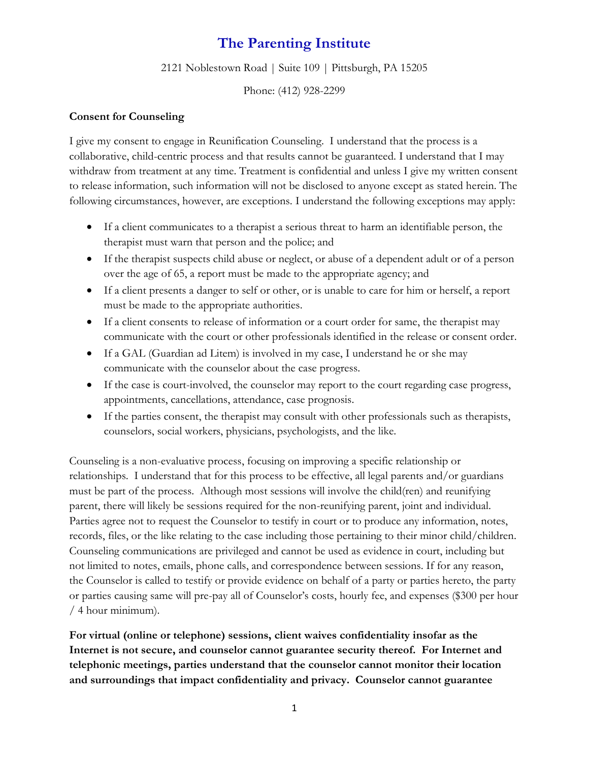## **The Parenting Institute**

2121 Noblestown Road | Suite 109 | Pittsburgh, PA 15205

Phone: (412) 928-2299

## **Consent for Counseling**

I give my consent to engage in Reunification Counseling. I understand that the process is a collaborative, child-centric process and that results cannot be guaranteed. I understand that I may withdraw from treatment at any time. Treatment is confidential and unless I give my written consent to release information, such information will not be disclosed to anyone except as stated herein. The following circumstances, however, are exceptions. I understand the following exceptions may apply:

- If a client communicates to a therapist a serious threat to harm an identifiable person, the therapist must warn that person and the police; and
- If the therapist suspects child abuse or neglect, or abuse of a dependent adult or of a person over the age of 65, a report must be made to the appropriate agency; and
- If a client presents a danger to self or other, or is unable to care for him or herself, a report must be made to the appropriate authorities.
- If a client consents to release of information or a court order for same, the therapist may communicate with the court or other professionals identified in the release or consent order.
- If a GAL (Guardian ad Litem) is involved in my case, I understand he or she may communicate with the counselor about the case progress.
- If the case is court-involved, the counselor may report to the court regarding case progress, appointments, cancellations, attendance, case prognosis.
- If the parties consent, the therapist may consult with other professionals such as therapists, counselors, social workers, physicians, psychologists, and the like.

Counseling is a non-evaluative process, focusing on improving a specific relationship or relationships. I understand that for this process to be effective, all legal parents and/or guardians must be part of the process. Although most sessions will involve the child(ren) and reunifying parent, there will likely be sessions required for the non-reunifying parent, joint and individual. Parties agree not to request the Counselor to testify in court or to produce any information, notes, records, files, or the like relating to the case including those pertaining to their minor child/children. Counseling communications are privileged and cannot be used as evidence in court, including but not limited to notes, emails, phone calls, and correspondence between sessions. If for any reason, the Counselor is called to testify or provide evidence on behalf of a party or parties hereto, the party or parties causing same will pre-pay all of Counselor's costs, hourly fee, and expenses (\$300 per hour / 4 hour minimum).

**For virtual (online or telephone) sessions, client waives confidentiality insofar as the Internet is not secure, and counselor cannot guarantee security thereof. For Internet and telephonic meetings, parties understand that the counselor cannot monitor their location and surroundings that impact confidentiality and privacy. Counselor cannot guarantee**